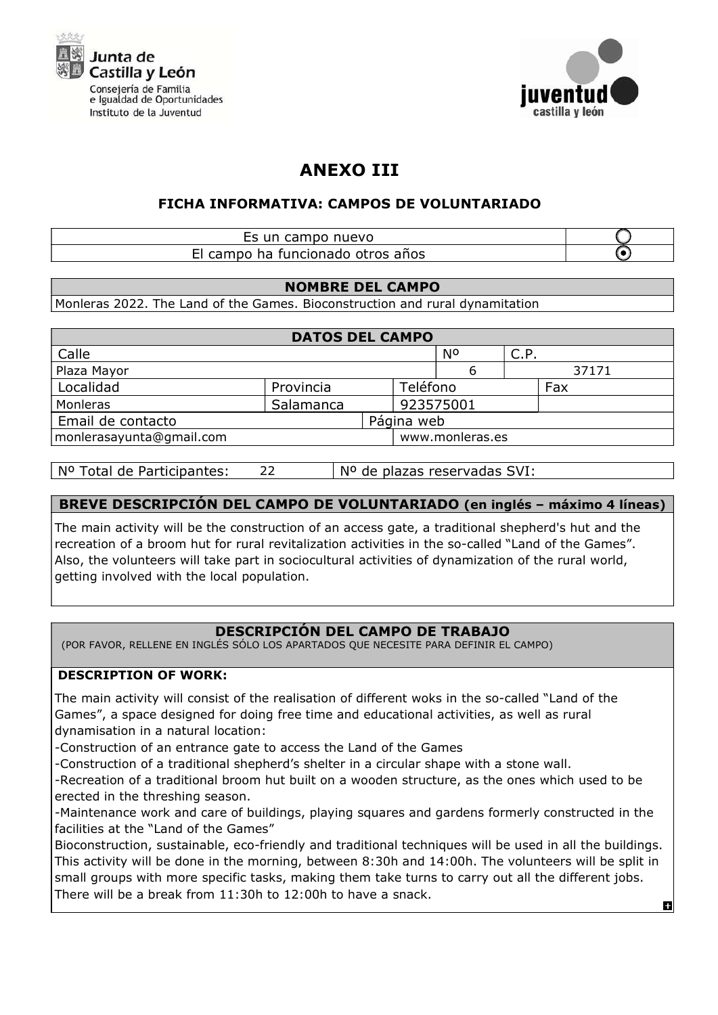



# ANEXO III

# FICHA INFORMATIVA: CAMPOS DE VOLUNTARIADO

# Es un campo nuevo El campo ha funcionado otros años

## NOMBRE DEL CAMPO

Monleras 2022. The Land of the Games. Bioconstruction and rural dynamitation

| <b>DATOS DEL CAMPO</b>   |           |            |                 |      |       |  |  |  |
|--------------------------|-----------|------------|-----------------|------|-------|--|--|--|
| Calle                    |           |            | Ν°              | C.P. |       |  |  |  |
| Plaza Mayor              |           |            |                 |      | 37171 |  |  |  |
| Localidad                | Provincia |            | Teléfono        |      | Fax   |  |  |  |
| Monleras                 | Salamanca |            | 923575001       |      |       |  |  |  |
| Email de contacto        |           | Página web |                 |      |       |  |  |  |
| monlerasayunta@gmail.com |           |            | www.monleras.es |      |       |  |  |  |

Nº Total de Participantes: Nº de plazas reservadas SVI: 22

# BREVE DESCRIPCIÓN DEL CAMPO DE VOLUNTARIADO (en inglés – máximo 4 líneas)

The main activity will be the construction of an access gate, a traditional shepherd's hut and the recreation of a broom hut for rural revitalization activities in the so-called "Land of the Games". Also, the volunteers will take part in sociocultural activities of dynamization of the rural world, getting involved with the local population.

# DESCRIPCIÓN DEL CAMPO DE TRABAJO

(POR FAVOR, RELLENE EN INGLÉS SÓLO LOS APARTADOS QUE NECESITE PARA DEFINIR EL CAMPO)

# DESCRIPTION OF WORK:

The main activity will consist of the realisation of different woks in the so-called "Land of the Games", a space designed for doing free time and educational activities, as well as rural dynamisation in a natural location:

-Construction of an entrance gate to access the Land of the Games

-Construction of a traditional shepherd's shelter in a circular shape with a stone wall.

-Recreation of a traditional broom hut built on a wooden structure, as the ones which used to be erected in the threshing season.

-Maintenance work and care of buildings, playing squares and gardens formerly constructed in the facilities at the "Land of the Games"

Bioconstruction, sustainable, eco-friendly and traditional techniques will be used in all the buildings. This activity will be done in the morning, between 8:30h and 14:00h. The volunteers will be split in small groups with more specific tasks, making them take turns to carry out all the different jobs. There will be a break from  $11:30h$  to  $12:00h$  to have a snack.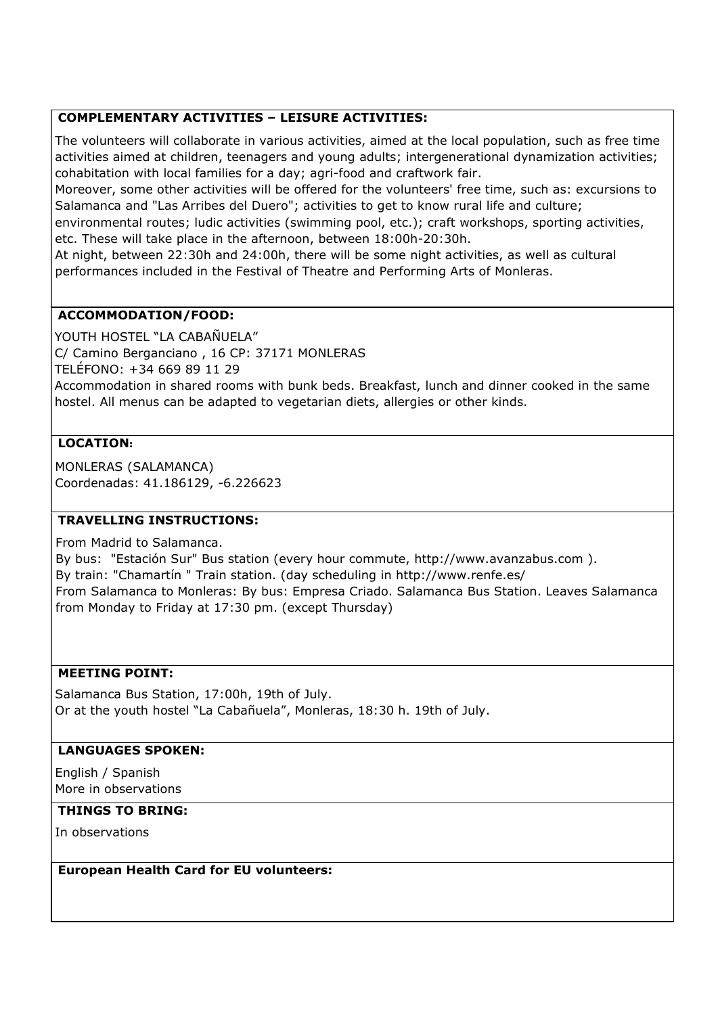## COMPLEMENTARY ACTIVITIES – LEISURE ACTIVITIES:

The volunteers will collaborate in various activities, aimed at the local population, such as free time activities aimed at children, teenagers and young adults; intergenerational dynamization activities; cohabitation with local families for a day; agri-food and craftwork fair.

Moreover, some other activities will be offered for the volunteers' free time, such as: excursions to Salamanca and "Las Arribes del Duero"; activities to get to know rural life and culture;

environmental routes; ludic activities (swimming pool, etc.); craft workshops, sporting activities, etc. These will take place in the afternoon, between 18:00h-20:30h.

At night, between 22:30h and 24:00h, there will be some night activities, as well as cultural performances included in the Festival of Theatre and Performing Arts of Monleras.

## ACCOMMODATION/FOOD:

YOUTH HOSTEL "LA CABAÑUELA" C/ Camino Berganciano , 16 CP: 37171 MONLERAS TELÉFONO: +34 669 89 11 29 Accommodation in shared rooms with bunk beds. Breakfast, lunch and dinner cooked in the same hostel. All menus can be adapted to vegetarian diets, allergies or other kinds.

## LOCATION:

MONLERAS (SALAMANCA) Coordenadas: 41.186129, -6.226623

#### TRAVELLING INSTRUCTIONS:

From Madrid to Salamanca.

By bus: "Estación Sur" Bus station (every hour commute, http://www.avanzabus.com ). By train: "Chamartín " Train station. (day scheduling in http://www.renfe.es/ From Salamanca to Monleras: By bus: Empresa Criado. Salamanca Bus Station. Leaves Salamanca from Monday to Friday at 17:30 pm. (except Thursday)

#### MEETING POINT:

Salamanca Bus Station, 17:00h, 19th of July. Or at the youth hostel "La Cabañuela", Monleras, 18:30 h. 19th of July.

#### LANGUAGES SPOKEN:

English / Spanish More in observations

#### THINGS TO BRING:

In observations

#### European Health Card for EU volunteers: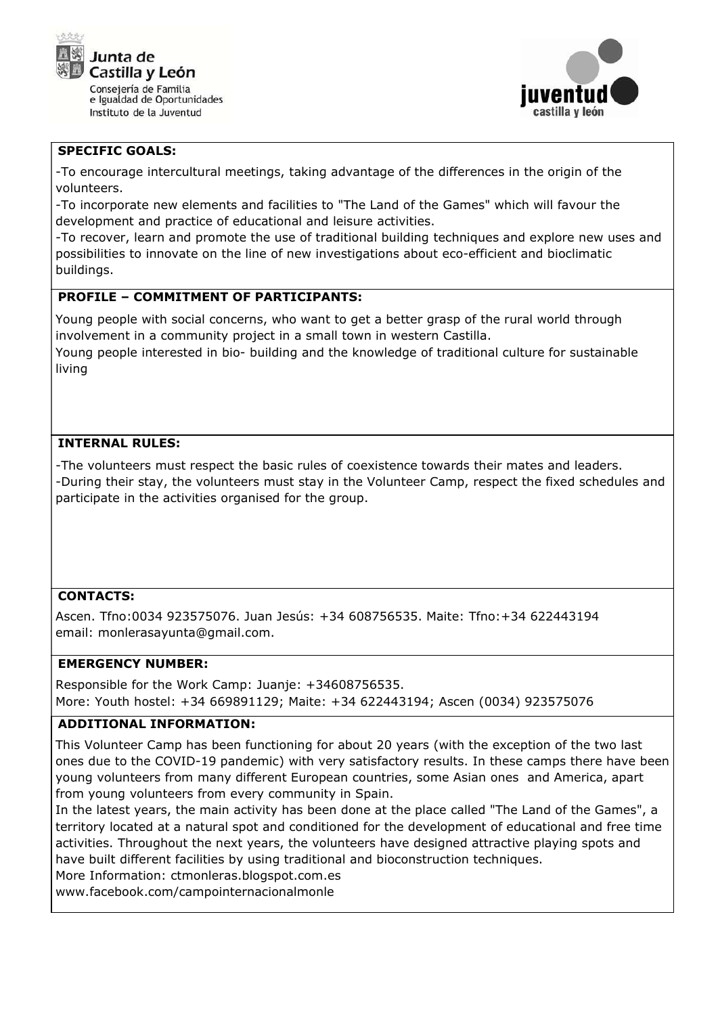



#### SPECIFIC GOALS:

-To encourage intercultural meetings, taking advantage of the differences in the origin of the volunteers.

-To incorporate new elements and facilities to "The Land of the Games" which will favour the development and practice of educational and leisure activities.

-To recover, learn and promote the use of traditional building techniques and explore new uses and possibilities to innovate on the line of new investigations about eco-efficient and bioclimatic buildings.

## PROFILE – COMMITMENT OF PARTICIPANTS:

Young people with social concerns, who want to get a better grasp of the rural world through involvement in a community project in a small town in western Castilla. Young people interested in bio- building and the knowledge of traditional culture for sustainable

# INTERNAL RULES:

living

-The volunteers must respect the basic rules of coexistence towards their mates and leaders. -During their stay, the volunteers must stay in the Volunteer Camp, respect the fixed schedules and participate in the activities organised for the group.

#### CONTACTS:

Ascen. Tfno:0034 923575076. Juan Jesús: +34 608756535. Maite: Tfno:+34 622443194 email: monlerasayunta@gmail.com.

#### EMERGENCY NUMBER:

Responsible for the Work Camp: Juanje: +34608756535. More: Youth hostel: +34 669891129; Maite: +34 622443194; Ascen (0034) 923575076

#### ADDITIONAL INFORMATION:

This Volunteer Camp has been functioning for about 20 years (with the exception of the two last ones due to the COVID-19 pandemic) with very satisfactory results. In these camps there have been young volunteers from many different European countries, some Asian ones and America, apart from young volunteers from every community in Spain.

In the latest years, the main activity has been done at the place called "The Land of the Games", a territory located at a natural spot and conditioned for the development of educational and free time activities. Throughout the next years, the volunteers have designed attractive playing spots and have built different facilities by using traditional and bioconstruction techniques.

More Information: ctmonleras.blogspot.com.es

www.facebook.com/campointernacionalmonle